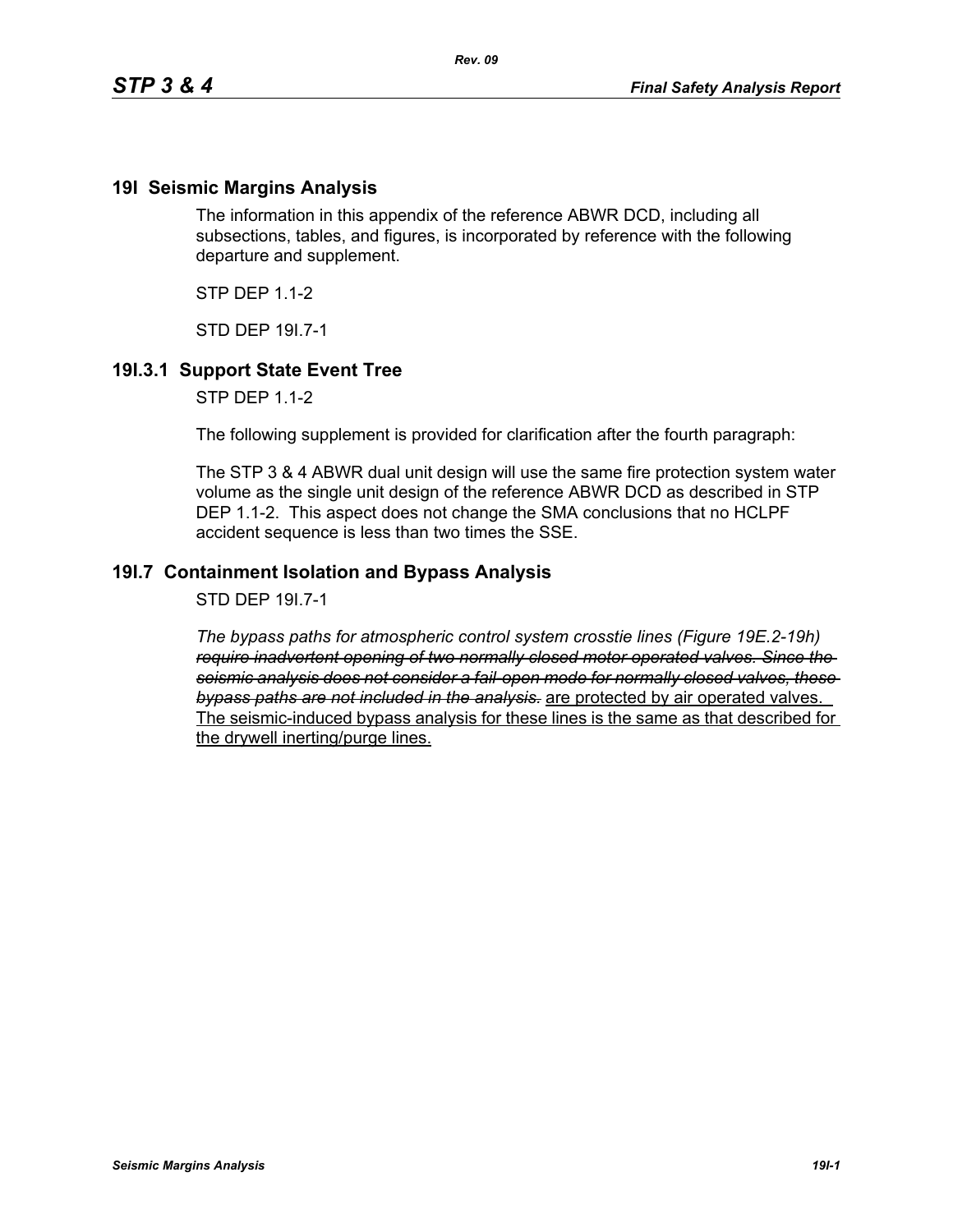## **19I Seismic Margins Analysis**

The information in this appendix of the reference ABWR DCD, including all subsections, tables, and figures, is incorporated by reference with the following departure and supplement.

 $STP$  DFP 11-2

STD DEP 19I.7-1

## **19I.3.1 Support State Event Tree**

STP DEP 1.1-2

The following supplement is provided for clarification after the fourth paragraph:

The STP 3 & 4 ABWR dual unit design will use the same fire protection system water volume as the single unit design of the reference ABWR DCD as described in STP DEP 1.1-2. This aspect does not change the SMA conclusions that no HCLPF accident sequence is less than two times the SSE.

## **19I.7 Containment Isolation and Bypass Analysis**

STD DEP 19I.7-1

*The bypass paths for atmospheric control system crosstie lines (Figure 19E.2-19h) require inadvertent opening of two normally closed motor operated valves. Since the seismic analysis does not consider a fail-open mode for normally closed valves, these bypass paths are not included in the analysis.* are protected by air operated valves. The seismic-induced bypass analysis for these lines is the same as that described for the drywell inerting/purge lines.